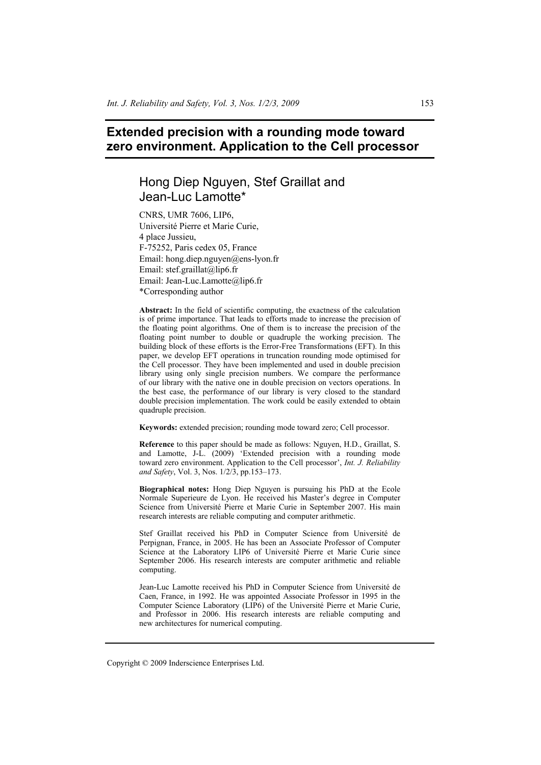# **Extended precision with a rounding mode toward zero environment. Application to the Cell processor**

# Hong Diep Nguyen, Stef Graillat and Jean-Luc Lamotte\*

CNRS, UMR 7606, LIP6, Université Pierre et Marie Curie, 4 place Jussieu, F-75252, Paris cedex 05, France Email: hong.diep.nguyen@ens-lyon.fr Email: stef.graillat@lip6.fr Email: Jean-Luc.Lamotte@lip6.fr \*Corresponding author

**Abstract:** In the field of scientific computing, the exactness of the calculation is of prime importance. That leads to efforts made to increase the precision of the floating point algorithms. One of them is to increase the precision of the floating point number to double or quadruple the working precision. The building block of these efforts is the Error-Free Transformations (EFT). In this paper, we develop EFT operations in truncation rounding mode optimised for the Cell processor. They have been implemented and used in double precision library using only single precision numbers. We compare the performance of our library with the native one in double precision on vectors operations. In the best case, the performance of our library is very closed to the standard double precision implementation. The work could be easily extended to obtain quadruple precision.

**Keywords:** extended precision; rounding mode toward zero; Cell processor.

**Reference** to this paper should be made as follows: Nguyen, H.D., Graillat, S. and Lamotte, J-L. (2009) 'Extended precision with a rounding mode toward zero environment. Application to the Cell processor', *Int. J. Reliability and Safety*, Vol. 3, Nos. 1/2/3, pp.153–173.

**Biographical notes:** Hong Diep Nguyen is pursuing his PhD at the Ecole Normale Superieure de Lyon. He received his Master's degree in Computer Science from Université Pierre et Marie Curie in September 2007. His main research interests are reliable computing and computer arithmetic.

Stef Graillat received his PhD in Computer Science from Université de Perpignan, France, in 2005. He has been an Associate Professor of Computer Science at the Laboratory LIP6 of Université Pierre et Marie Curie since September 2006. His research interests are computer arithmetic and reliable computing.

Jean-Luc Lamotte received his PhD in Computer Science from Université de Caen, France, in 1992. He was appointed Associate Professor in 1995 in the Computer Science Laboratory (LIP6) of the Université Pierre et Marie Curie, and Professor in 2006. His research interests are reliable computing and new architectures for numerical computing.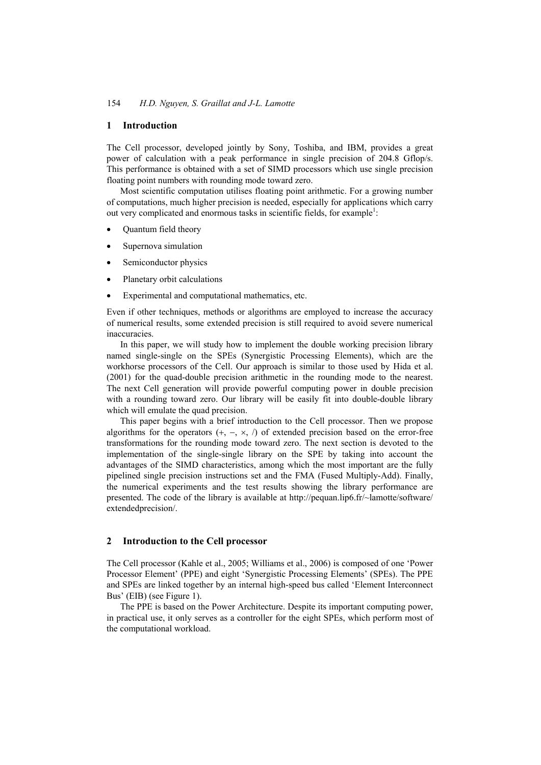#### **1 Introduction**

The Cell processor, developed jointly by Sony, Toshiba, and IBM, provides a great power of calculation with a peak performance in single precision of 204.8 Gflop/s. This performance is obtained with a set of SIMD processors which use single precision floating point numbers with rounding mode toward zero.

Most scientific computation utilises floating point arithmetic. For a growing number of computations, much higher precision is needed, especially for applications which carry out very complicated and enormous tasks in scientific fields, for example<sup>1</sup>:

- Quantum field theory
- Supernova simulation
- Semiconductor physics
- Planetary orbit calculations
- Experimental and computational mathematics, etc.

Even if other techniques, methods or algorithms are employed to increase the accuracy of numerical results, some extended precision is still required to avoid severe numerical inaccuracies.

In this paper, we will study how to implement the double working precision library named single-single on the SPEs (Synergistic Processing Elements), which are the workhorse processors of the Cell. Our approach is similar to those used by Hida et al. (2001) for the quad-double precision arithmetic in the rounding mode to the nearest. The next Cell generation will provide powerful computing power in double precision with a rounding toward zero. Our library will be easily fit into double-double library which will emulate the quad precision.

This paper begins with a brief introduction to the Cell processor. Then we propose algorithms for the operators  $(+, -, \times, \wedge)$  of extended precision based on the error-free transformations for the rounding mode toward zero. The next section is devoted to the implementation of the single-single library on the SPE by taking into account the advantages of the SIMD characteristics, among which the most important are the fully pipelined single precision instructions set and the FMA (Fused Multiply-Add). Finally, the numerical experiments and the test results showing the library performance are presented. The code of the library is available at http://pequan.lip6.fr/~lamotte/software/ extendedprecision/.

## **2 Introduction to the Cell processor**

The Cell processor (Kahle et al., 2005; Williams et al., 2006) is composed of one 'Power Processor Element' (PPE) and eight 'Synergistic Processing Elements' (SPEs). The PPE and SPEs are linked together by an internal high-speed bus called 'Element Interconnect Bus' (EIB) (see Figure 1).

The PPE is based on the Power Architecture. Despite its important computing power, in practical use, it only serves as a controller for the eight SPEs, which perform most of the computational workload.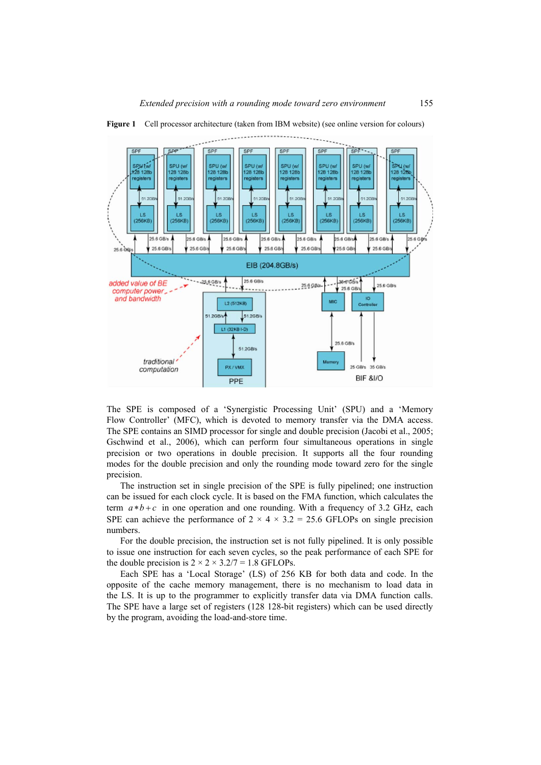

**Figure 1** Cell processor architecture (taken from IBM website) (see online version for colours)

The SPE is composed of a 'Synergistic Processing Unit' (SPU) and a 'Memory Flow Controller' (MFC), which is devoted to memory transfer via the DMA access. The SPE contains an SIMD processor for single and double precision (Jacobi et al., 2005; Gschwind et al., 2006), which can perform four simultaneous operations in single precision or two operations in double precision. It supports all the four rounding modes for the double precision and only the rounding mode toward zero for the single precision.

The instruction set in single precision of the SPE is fully pipelined; one instruction can be issued for each clock cycle. It is based on the FMA function, which calculates the term  $a*b+c$  in one operation and one rounding. With a frequency of 3.2 GHz, each SPE can achieve the performance of  $2 \times 4 \times 3.2 = 25.6$  GFLOPs on single precision numbers.

For the double precision, the instruction set is not fully pipelined. It is only possible to issue one instruction for each seven cycles, so the peak performance of each SPE for the double precision is  $2 \times 2 \times 3.2/7 = 1.8$  GFLOPs.

Each SPE has a 'Local Storage' (LS) of 256 KB for both data and code. In the opposite of the cache memory management, there is no mechanism to load data in the LS. It is up to the programmer to explicitly transfer data via DMA function calls. The SPE have a large set of registers (128 128-bit registers) which can be used directly by the program, avoiding the load-and-store time.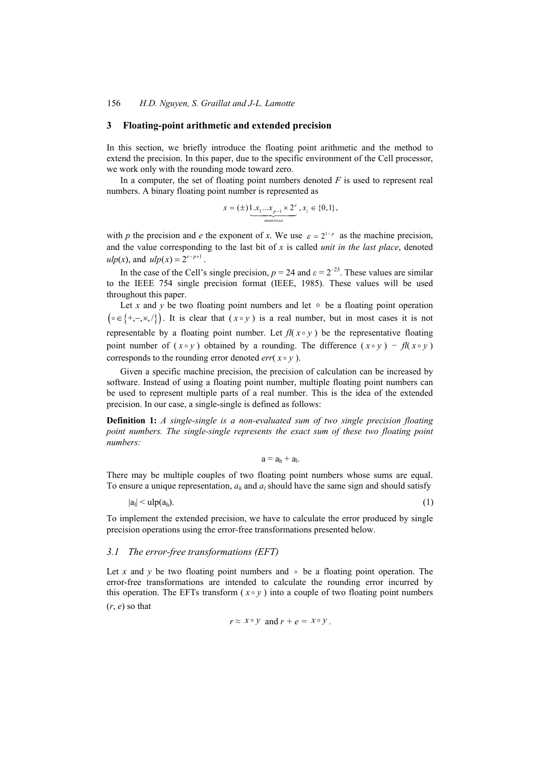#### **3 Floating-point arithmetic and extended precision**

In this section, we briefly introduce the floating point arithmetic and the method to extend the precision. In this paper, due to the specific environment of the Cell processor, we work only with the rounding mode toward zero.

In a computer, the set of floating point numbers denoted  $F$  is used to represent real numbers. A binary floating point number is represented as

$$
x = (\pm) \underbrace{1 \ldots x_{1} \ldots x_{p-1} \times 2^e}_{\text{manissa}}, x_i \in \{0, 1\},
$$

with *p* the precision and *e* the exponent of *x*. We use  $\varepsilon = 2^{1-p}$  as the machine precision, and the value corresponding to the last bit of *x* is called *unit in the last place*, denoted *ulp*(*x*), and  $ulp(x) = 2^{e-p+1}$ .

In the case of the Cell's single precision,  $p = 24$  and  $\varepsilon = 2^{-23}$ . These values are similar to the IEEE 754 single precision format (IEEE, 1985). These values will be used throughout this paper.

Let x and y be two floating point numbers and let  $\circ$  be a floating point operation  $\{\circ \in \{+, -, \times, / \} \}$ . It is clear that  $(x \circ y)$  is a real number, but in most cases it is not representable by a floating point number. Let  $fl(x \circ y)$  be the representative floating point number of  $(x \circ y)$  obtained by a rounding. The difference  $(x \circ y) - f(x \circ y)$ corresponds to the rounding error denoted *err*( $x \circ y$ ).

Given a specific machine precision, the precision of calculation can be increased by software. Instead of using a floating point number, multiple floating point numbers can be used to represent multiple parts of a real number. This is the idea of the extended precision. In our case, a single-single is defined as follows:

**Definition 1:** *A single-single is a non-evaluated sum of two single precision floating point numbers. The single-single represents the exact sum of these two floating point numbers:* 

 $a = a_h + a_l$ .

There may be multiple couples of two floating point numbers whose sums are equal. To ensure a unique representation,  $a_h$  and  $a_l$  should have the same sign and should satisfy

 $|a_1| < \mathrm{ulp}(a_h).$  (1)

To implement the extended precision, we have to calculate the error produced by single precision operations using the error-free transformations presented below.

#### *3.1 The error-free transformations (EFT)*

Let *x* and *y* be two floating point numbers and  $\circ$  be a floating point operation. The error-free transformations are intended to calculate the rounding error incurred by this operation. The EFTs transform  $(x \circ y)$  into a couple of two floating point numbers (*r*, *e*) so that

$$
r \approx x \circ y
$$
 and  $r + e = x \circ y$ .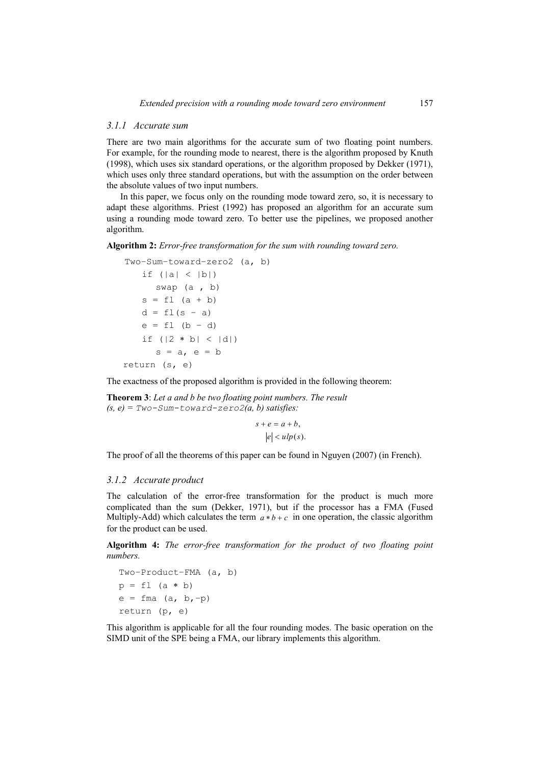#### *3.1.1 Accurate sum*

There are two main algorithms for the accurate sum of two floating point numbers. For example, for the rounding mode to nearest, there is the algorithm proposed by Knuth (1998), which uses six standard operations, or the algorithm proposed by Dekker (1971), which uses only three standard operations, but with the assumption on the order between the absolute values of two input numbers.

In this paper, we focus only on the rounding mode toward zero, so, it is necessary to adapt these algorithms. Priest (1992) has proposed an algorithm for an accurate sum using a rounding mode toward zero. To better use the pipelines, we proposed another algorithm.

**Algorithm 2:** *Error-free transformation for the sum with rounding toward zero.* 

```
Two−Sum−toward−zero2 (a, b) 
if (|a| < |b|)swap (a , b) 
s = f1 (a + b)
d = f1(s - a)e = f1 (b – d)
if (|2 * b| < |d|)s = a, e = breturn (s, e)
```
The exactness of the proposed algorithm is provided in the following theorem:

**Theorem 3**: *Let a and b be two floating point numbers. The result*   $(s, e) = Two-Sum-toward-zero2(a, b) satisfies:$ 

> $s + e = a + b$ ,  $e \leq u \, \log(s)$ .

The proof of all the theorems of this paper can be found in Nguyen (2007) (in French).

# *3.1.2 Accurate product*

The calculation of the error-free transformation for the product is much more complicated than the sum (Dekker, 1971), but if the processor has a FMA (Fused Multiply-Add) which calculates the term  $a * b + c$  in one operation, the classic algorithm for the product can be used.

**Algorithm 4:** *The error-free transformation for the product of two floating point numbers.* 

Two−Product−FMA (a, b)  $p = f1$  (a \* b) e = fma (a, b,−p) return (p, e)

This algorithm is applicable for all the four rounding modes. The basic operation on the SIMD unit of the SPE being a FMA, our library implements this algorithm.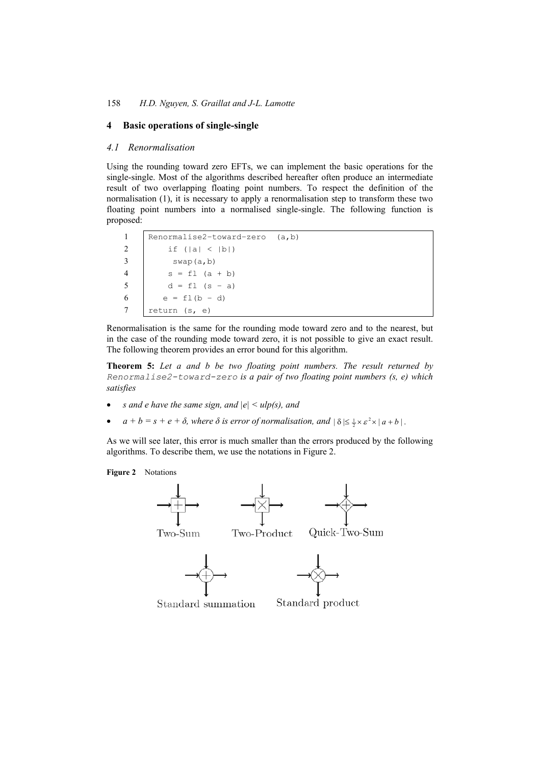# **4 Basic operations of single-single**

#### *4.1 Renormalisation*

Using the rounding toward zero EFTs, we can implement the basic operations for the single-single. Most of the algorithms described hereafter often produce an intermediate result of two overlapping floating point numbers. To respect the definition of the normalisation (1), it is necessary to apply a renormalisation step to transform these two floating point numbers into a normalised single-single. The following function is proposed:

1 Renormalise2−toward−zero (a,b) 2 | if  $(|a| < |b|)$  $3 \quad$  swap(a,b)  $4 \t s = f1 (a + b)$ 5 d = fl  $(s - a)$ 6 e =  $f1(b - d)$ 7 return (s, e)

Renormalisation is the same for the rounding mode toward zero and to the nearest, but in the case of the rounding mode toward zero, it is not possible to give an exact result. The following theorem provides an error bound for this algorithm.

**Theorem 5:** *Let a and b be two floating point numbers. The result returned by Renormalise2-toward-zero is a pair of two floating point numbers (s, e) which satisfies* 

- *s and e have the same sign, and*  $|e| \leq \frac{u}{g}$  *and*
- $a + b = s + e + \delta$ , where  $\delta$  is error of normalisation, and  $|\delta| \leq \frac{1}{2} \times \varepsilon^2 \times |a + b|$ .

As we will see later, this error is much smaller than the errors produced by the following algorithms. To describe them, we use the notations in Figure 2.



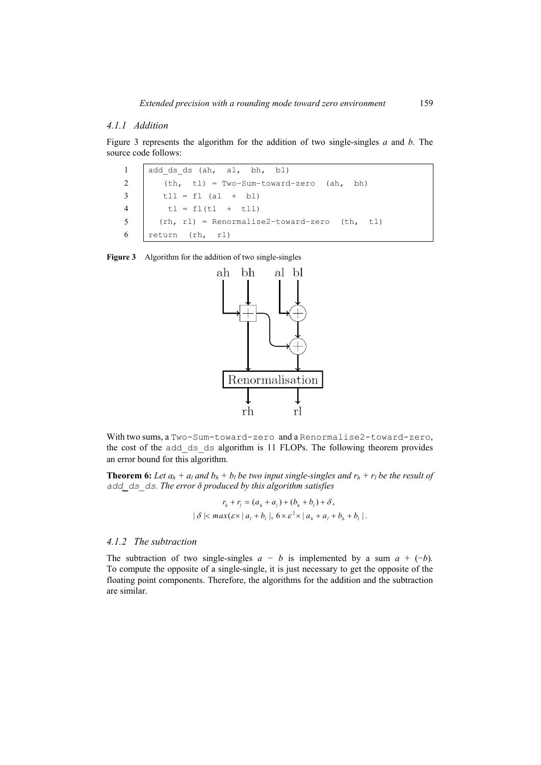# *4.1.1 Addition*

Figure 3 represents the algorithm for the addition of two single-singles *a* and *b.* The source code follows:

|                        | 1 add ds ds (ah, al, bh, bl)                   |
|------------------------|------------------------------------------------|
|                        | 2 (th, tl) = Two-Sum-toward-zero (ah, bh)      |
|                        | $3$ $t11 = f1 (a1 + b1)$                       |
|                        | 4 $t = f1(t1 + t11)$                           |
| $5 \quad \blacksquare$ | $(rh, r1)$ = Renormalise2-toward-zero (th, tl) |
|                        | 6 $return (rh, rl)$                            |

| <b>Figure 3</b> |  |  | Algorithm for the addition of two single-singles |  |
|-----------------|--|--|--------------------------------------------------|--|
|                 |  |  |                                                  |  |



With two sums, a Two-Sum-toward-zero and a Renormalise2-toward-zero, the cost of the add ds ds algorithm is 11 FLOPs. The following theorem provides an error bound for this algorithm.

**Theorem 6:** Let  $a_h + a_l$  and  $b_h + b_l$  be two input single-singles and  $r_h + r_l$  be the result of *add\_ds\_ds. The error δ produced by this algorithm satisfies* 

$$
r_h + r_l = (a_h + a_l) + (b_h + b_l) + \delta,
$$
  

$$
|\delta| < max(\varepsilon \times |a_l + b_l|, 6 \times \varepsilon^2 \times |a_h + a_l + b_h + b_l|).
$$

## *4.1.2 The subtraction*

The subtraction of two single-singles  $a - b$  is implemented by a sum  $a + (-b)$ . To compute the opposite of a single-single, it is just necessary to get the opposite of the floating point components. Therefore, the algorithms for the addition and the subtraction are similar.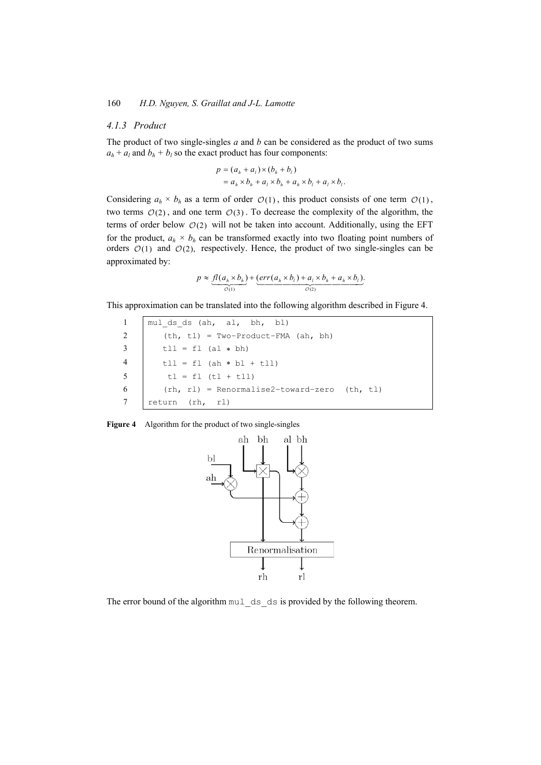# *4.1.3 Product*

The product of two single-singles *a* and *b* can be considered as the product of two sums  $a_h + a_l$  and  $b_h + b_l$  so the exact product has four components:

$$
p = (a_h + a_l) \times (b_h + b_l)
$$
  
=  $a_h \times b_h + a_l \times b_h + a_h \times b_l + a_l \times b_l$ .

Considering  $a_h \times b_h$  as a term of order  $\mathcal{O}(1)$ , this product consists of one term  $\mathcal{O}(1)$ , two terms  $O(2)$ , and one term  $O(3)$ . To decrease the complexity of the algorithm, the terms of order below  $O(2)$  will not be taken into account. Additionally, using the EFT for the product,  $a_h \times b_h$  can be transformed exactly into two floating point numbers of orders  $O(1)$  and  $O(2)$ , respectively. Hence, the product of two single-singles can be approximated by:

$$
p \approx \underbrace{fl(a_h \times b_h)}_{\mathcal{O}(1)} + \underbrace{(err(a_h \times b_l) + a_l \times b_h + a_h \times b_l)}_{\mathcal{O}(2)}.
$$

This approximation can be translated into the following algorithm described in Figure 4.

|                | mul ds ds (ah, al, bh, bl)                   |
|----------------|----------------------------------------------|
| 2              | $(th, t1) = Two-Product-FMA (ah, bh)$        |
| $\overline{3}$ | $t11 = f1$ (al * bh)                         |
| $\overline{4}$ | $t11 = f1$ (ah * bl + $t11$ )                |
| 5              | $t1 = f1 (t1 + t11)$                         |
| -6             | (rh, rl) = Renormalise2-toward-zero (th, tl) |
|                | return (rh, rl)                              |

| Algorithm for the product of two single-singles | <b>Figure 4</b> |  |  |  |
|-------------------------------------------------|-----------------|--|--|--|
|-------------------------------------------------|-----------------|--|--|--|



The error bound of the algorithm mul ds ds is provided by the following theorem.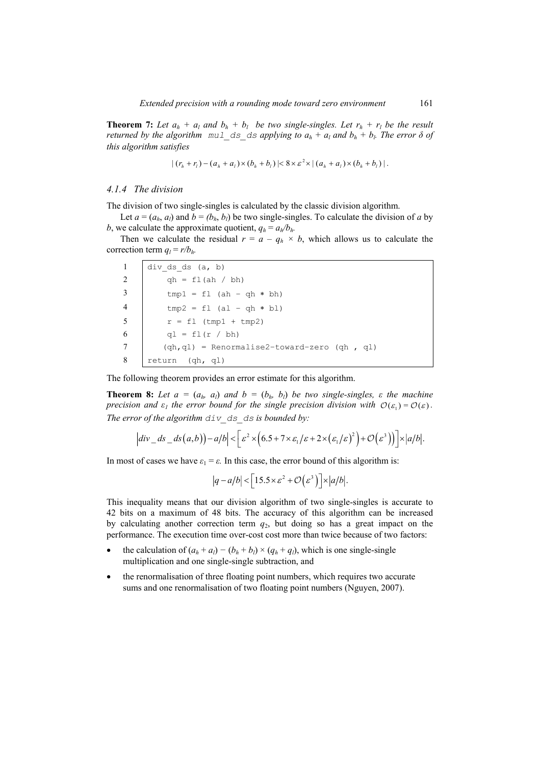**Theorem 7:** Let  $a_h + a_l$  and  $b_h + b_l$  be two single-singles. Let  $r_h + r_l$  be the result *returned by the algorithm*  $mul$  ds ds applying to  $a_h + a_l$  and  $b_h + b_l$ . The error  $\delta$  of *this algorithm satisfies* 

$$
|(r_h + r_l) - (a_h + a_l) \times (b_h + b_l)| < 8 \times \varepsilon^2 \times |(a_h + a_l) \times (b_h + b_l)|.
$$

## *4.1.4 The division*

The division of two single-singles is calculated by the classic division algorithm.

Let  $a = (a_h, a_l)$  and  $b = (b_h, b_l)$  be two single-singles. To calculate the division of *a* by *b*, we calculate the approximate quotient,  $q_h = a_h/b_h$ .

Then we calculate the residual  $r = a - q_h \times b$ , which allows us to calculate the correction term  $q_l = r/b_h$ .

|                | div ds ds $(a, b)$                              |
|----------------|-------------------------------------------------|
| 2              | $qh = f1(ah / bh)$                              |
|                | $tmp1 = f1 (ah - gh * bh)$                      |
| $\overline{4}$ | $tmp2 = f1 (al - gh * bl)$                      |
| - 5            | $r = fl (tmp1 + tmp2)$                          |
| -6             | ql = fl(r / bh)                                 |
|                | $(qh,ql)$ = Renormalise2-toward-zero $(qh, ql)$ |
| -8             | return (qh, ql)                                 |

The following theorem provides an error estimate for this algorithm.

**Theorem 8:** Let  $a = (a_h, a_l)$  and  $b = (b_h, b_l)$  be two single-singles,  $\varepsilon$  the machine *precision and*  $\varepsilon_1$  *the error bound for the single precision division with*  $\mathcal{O}(\varepsilon_1) = \mathcal{O}(\varepsilon)$ . *The error of the algorithm div\_ds\_ds is bounded by:* 

$$
\left| div \, ds - ds(a,b) \right) - a/b \Big| < \Big[ \varepsilon^2 \times \Big( 6.5 + 7 \times \varepsilon_1/\varepsilon + 2 \times \big( \varepsilon_1/\varepsilon \big)^2 \Big) + \mathcal{O} \Big( \varepsilon^3 \Big) \Big] \Big] \times \Big| a/b \Big|.
$$

In most of cases we have  $\varepsilon_1 = \varepsilon$ . In this case, the error bound of this algorithm is:

$$
|q-a/b| < \left\lfloor 15.5 \times \varepsilon^2 + \mathcal{O}(\varepsilon^3) \right\rfloor \times |a/b|.
$$

This inequality means that our division algorithm of two single-singles is accurate to 42 bits on a maximum of 48 bits. The accuracy of this algorithm can be increased by calculating another correction term *q*2, but doing so has a great impact on the performance. The execution time over-cost cost more than twice because of two factors:

- the calculation of  $(a_h + a_l) (b_h + b_l) \times (q_h + q_l)$ , which is one single-single multiplication and one single-single subtraction, and
- the renormalisation of three floating point numbers, which requires two accurate sums and one renormalisation of two floating point numbers (Nguyen, 2007).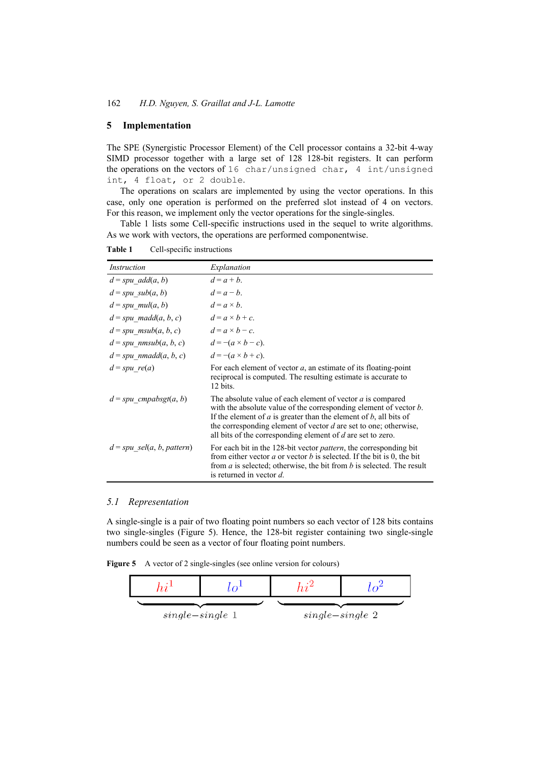# **5 Implementation**

The SPE (Synergistic Processor Element) of the Cell processor contains a 32-bit 4-way SIMD processor together with a large set of 128 128-bit registers. It can perform the operations on the vectors of 16 char/unsigned char, 4 int/unsigned int, 4 float, or 2 double.

The operations on scalars are implemented by using the vector operations. In this case, only one operation is performed on the preferred slot instead of 4 on vectors. For this reason, we implement only the vector operations for the single-singles.

Table 1 lists some Cell-specific instructions used in the sequel to write algorithms. As we work with vectors, the operations are performed componentwise.

**Table 1** Cell-specific instructions

| Instruction                                | Explanation                                                                                                                                                                                                                                                                                                                                            |
|--------------------------------------------|--------------------------------------------------------------------------------------------------------------------------------------------------------------------------------------------------------------------------------------------------------------------------------------------------------------------------------------------------------|
| $d = spu\_add(a, b)$                       | $d = a + b$ .                                                                                                                                                                                                                                                                                                                                          |
| $d = spu \text{ sub}(a, b)$                | $d = a - b$ .                                                                                                                                                                                                                                                                                                                                          |
| $d = spu \text{ mul}(a, b)$                | $d = a \times b$ .                                                                                                                                                                                                                                                                                                                                     |
| $d = spu$ madd $(a, b, c)$                 | $d = a \times b + c$                                                                                                                                                                                                                                                                                                                                   |
| $d = spu$ msub(a, b, c)                    | $d = a \times b - c$ .                                                                                                                                                                                                                                                                                                                                 |
| $d = spu_nmsub(a, b, c)$                   | $d = -(a \times b - c)$ .                                                                                                                                                                                                                                                                                                                              |
| $d = spu$ nmadd $(a, b, c)$                | $d = -(a \times b + c)$ .                                                                                                                                                                                                                                                                                                                              |
| $d = spu \text{ re}(a)$                    | For each element of vector $a$ , an estimate of its floating-point<br>reciprocal is computed. The resulting estimate is accurate to<br>12 bits.                                                                                                                                                                                                        |
| $d = spu$ cmpabsgt(a, b)                   | The absolute value of each element of vector <i>a</i> is compared<br>with the absolute value of the corresponding element of vector $b$ .<br>If the element of $a$ is greater than the element of $b$ , all bits of<br>the corresponding element of vector d are set to one; otherwise,<br>all bits of the corresponding element of d are set to zero. |
| $d = spu$ <sub>sel</sub> $(a, b, pattern)$ | For each bit in the 128-bit vector <i>pattern</i> , the corresponding bit<br>from either vector $a$ or vector $b$ is selected. If the bit is 0, the bit<br>from $a$ is selected; otherwise, the bit from $b$ is selected. The result<br>is returned in vector d.                                                                                       |

#### *5.1 Representation*

A single-single is a pair of two floating point numbers so each vector of 128 bits contains two single-singles (Figure 5). Hence, the 128-bit register containing two single-single numbers could be seen as a vector of four floating point numbers.

**Figure 5** A vector of 2 single-singles (see online version for colours)

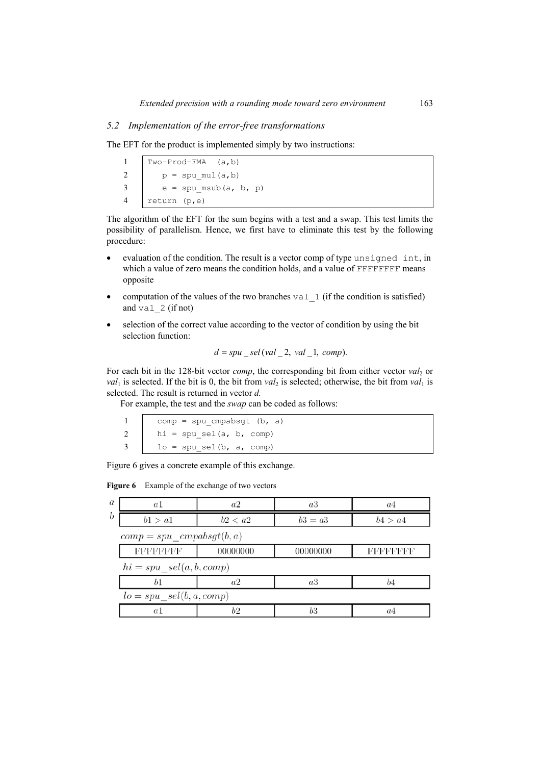## *5.2 Implementation of the error-free transformations*

The EFT for the product is implemented simply by two instructions:

Two−Prod−FMA (a,b)  $p = \text{spu mul}(a,b)$  $3 \mid e = \text{spu msub}(a, b, p)$ return (p,e)

The algorithm of the EFT for the sum begins with a test and a swap. This test limits the possibility of parallelism. Hence, we first have to eliminate this test by the following procedure:

- evaluation of the condition. The result is a vector comp of type unsigned int, in which a value of zero means the condition holds, and a value of FFFFFFFF means opposite
- computation of the values of the two branches val  $\perp$  (if the condition is satisfied) and  $val$  2 (if not)
- selection of the correct value according to the vector of condition by using the bit selection function:

$$
d = spu \_\text{sel}(val \_\text{2}, val \_\text{1}, comp).
$$

For each bit in the 128-bit vector *comp*, the corresponding bit from either vector *val*<sub>2</sub> or  $val_1$  is selected. If the bit is 0, the bit from  $val_2$  is selected; otherwise, the bit from  $val_1$  is selected. The result is returned in vector *d.*

For example, the test and the *swap* can be coded as follows:

| 1 comp = spu_cmpabsgt (b, a)       |
|------------------------------------|
| 2 $\vert$ hi = spu_sel(a, b, comp) |
| $3 \mid$ lo = spu_sel(b, a, comp)  |

Figure 6 gives a concrete example of this exchange.

Figure 6 Example of the exchange of two vectors

| $\boldsymbol{a}$ | a1                           | a2       | a3        | a4               |  |  |  |  |
|------------------|------------------------------|----------|-----------|------------------|--|--|--|--|
| $\boldsymbol{b}$ | b1 > a1                      | b2 < a2  | $b3 = a3$ | b4 > a4          |  |  |  |  |
|                  | $comp = spu\_cmpabsgt(b, a)$ |          |           |                  |  |  |  |  |
|                  | <b>FFFFFFFFF</b>             | 00000000 | 00000000  | <b>FFFFFFFFF</b> |  |  |  |  |
|                  | $hi = spu\_sel(a, b, comp)$  |          |           |                  |  |  |  |  |
|                  | b1                           | a2       | a3        | b4               |  |  |  |  |
|                  | $lo = spu\_sel(b, a, comp)$  |          |           |                  |  |  |  |  |
|                  | a <sup>1</sup>               | b2       | b3        | a4               |  |  |  |  |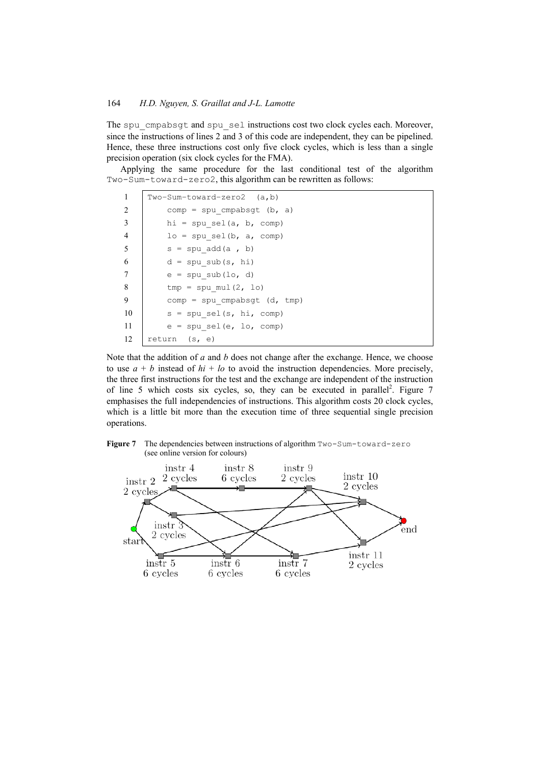The spu\_cmpabsgt and spu\_sel instructions cost two clock cycles each. Moreover, since the instructions of lines 2 and 3 of this code are independent, they can be pipelined. Hence, these three instructions cost only five clock cycles, which is less than a single precision operation (six clock cycles for the FMA).

Applying the same procedure for the last conditional test of the algorithm Two-Sum-toward-zero2, this algorithm can be rewritten as follows:

| 1              | $Two-Sum-toward-zero2$ $(a,b)$ |
|----------------|--------------------------------|
| 2              | $comp = spu cmpabsgt (b, a)$   |
| 3              | $hi = spu sel(a, b, comp)$     |
| $\overline{4}$ | $lo = spu sel(b, a, comp)$     |
| 5              | $s = spu \text{ add}(a, b)$    |
| 6              | $d = spu sub(s, hi)$           |
| 7              | $e = spu sub(lo, d)$           |
| 8              | $tmp = spu mul(2, lo)$         |
| 9              | $comp = spu cmpabsqt (d, tmp)$ |
| 10             | $s = spu sel(s, hi, comp)$     |
| 11             | $e = spu sel(e, lo, comp)$     |
| 12             | return (s, e)                  |

Note that the addition of *a* and *b* does not change after the exchange. Hence, we choose to use  $a + b$  instead of  $hi + lo$  to avoid the instruction dependencies. More precisely, the three first instructions for the test and the exchange are independent of the instruction of line 5 which costs six cycles, so, they can be executed in parallel<sup>2</sup>. Figure 7 emphasises the full independencies of instructions. This algorithm costs 20 clock cycles, which is a little bit more than the execution time of three sequential single precision operations.



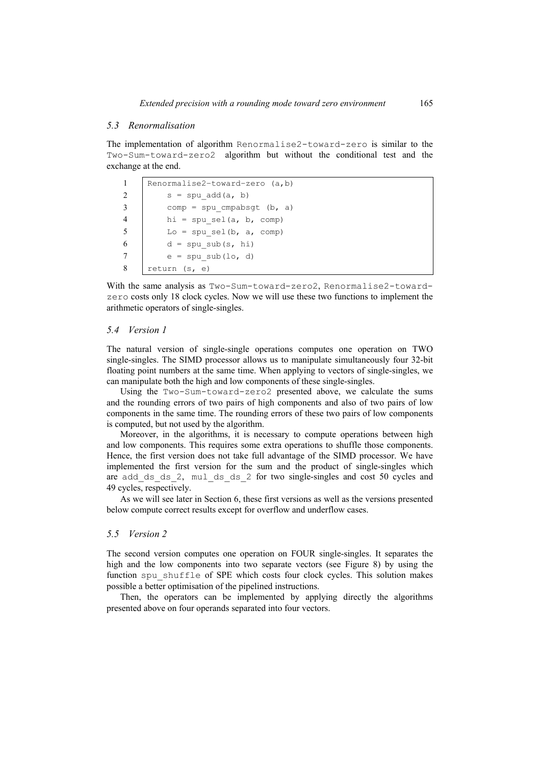#### *5.3 Renormalisation*

The implementation of algorithm Renormalise2-toward-zero is similar to the Two-Sum-toward-zero2 algorithm but without the conditional test and the exchange at the end.

| $\mathbf{1}$ | Renormalise2-toward-zero (a,b) |
|--------------|--------------------------------|
| 2            | $s = spu \text{ add}(a, b)$    |
| 3            | $comp = spu cmpabsgt (b, a)$   |
| 4            | $hi = spu sel(a, b, comp)$     |
| -5           | Lo = spu sel(b, $a$ , comp)    |
| 6            | $d = spu sub(s, hi)$           |
|              | $e = spu sub(lo, d)$           |
| 8            | return (s, e)                  |

With the same analysis as Two-Sum-toward-zero2, Renormalise2-towardzero costs only 18 clock cycles. Now we will use these two functions to implement the arithmetic operators of single-singles.

#### *5.4 Version 1*

The natural version of single-single operations computes one operation on TWO single-singles. The SIMD processor allows us to manipulate simultaneously four 32-bit floating point numbers at the same time. When applying to vectors of single-singles, we can manipulate both the high and low components of these single-singles.

Using the Two-Sum-toward-zero2 presented above, we calculate the sums and the rounding errors of two pairs of high components and also of two pairs of low components in the same time. The rounding errors of these two pairs of low components is computed, but not used by the algorithm.

Moreover, in the algorithms, it is necessary to compute operations between high and low components. This requires some extra operations to shuffle those components. Hence, the first version does not take full advantage of the SIMD processor. We have implemented the first version for the sum and the product of single-singles which are add ds\_ds\_2, mul\_ds\_ds\_2 for two single-singles and cost 50 cycles and 49 cycles, respectively.

As we will see later in Section 6, these first versions as well as the versions presented below compute correct results except for overflow and underflow cases.

## *5.5 Version 2*

The second version computes one operation on FOUR single-singles. It separates the high and the low components into two separate vectors (see Figure 8) by using the function spu\_shuffle of SPE which costs four clock cycles. This solution makes possible a better optimisation of the pipelined instructions.

Then, the operators can be implemented by applying directly the algorithms presented above on four operands separated into four vectors.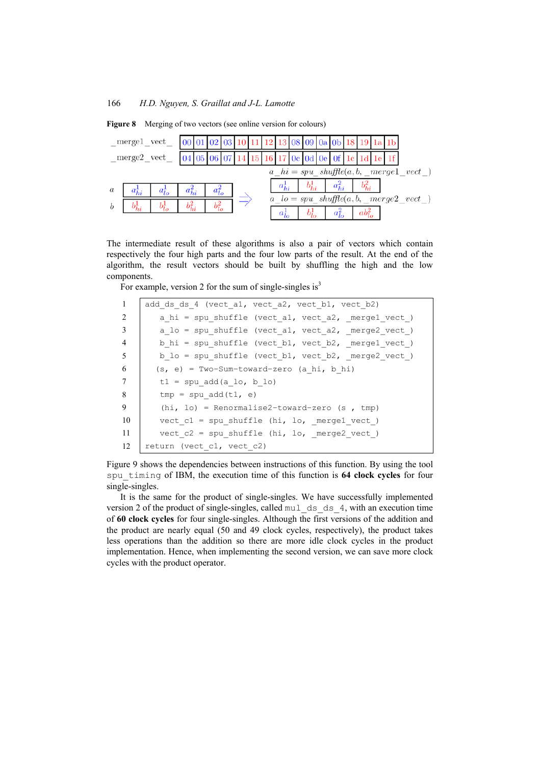|                  |            | merge1_vect_  00  01  02  03   10   11   12   13   08   09   0a   0b   18   19   1a   1b |            |            |            |  |  |  |                                   |  |  |                                                |  |
|------------------|------------|------------------------------------------------------------------------------------------|------------|------------|------------|--|--|--|-----------------------------------|--|--|------------------------------------------------|--|
|                  |            |                                                                                          |            |            |            |  |  |  |                                   |  |  |                                                |  |
|                  |            |                                                                                          |            |            |            |  |  |  |                                   |  |  |                                                |  |
| $\boldsymbol{a}$ |            | $a_{hi}^1$ $a_{lo}^1$ $a_{hi}^2$                                                         |            |            | $a_{lo}^2$ |  |  |  | $b_{hi}^1$   $a_{hi}^2$           |  |  |                                                |  |
| $\boldsymbol{b}$ | $b_{hi}^1$ | $b^1_{lo}$                                                                               | $b_{hi}^2$ | $b_{lo}^2$ |            |  |  |  |                                   |  |  | $a\_lo = spu\_shuffle(a, b, \_merge2\_vect\_)$ |  |
|                  |            |                                                                                          |            |            |            |  |  |  | $b^1_{lo}$ $a^2_{lo}$ $ab^2_{lo}$ |  |  |                                                |  |

**Figure 8** Merging of two vectors (see online version for colours)

The intermediate result of these algorithms is also a pair of vectors which contain respectively the four high parts and the four low parts of the result. At the end of the algorithm, the result vectors should be built by shuffling the high and the low components.

For example, version 2 for the sum of single-singles is $3$ 

| 1              | add ds ds 4 (vect al, vect a2, vect b1, vect b2)   |
|----------------|----------------------------------------------------|
| 2              | a hi = spu shuffle (vect al, vect a2, mergel vect) |
| 3              | a lo = spu shuffle (vect al, vect a2, merge2 vect) |
| $\overline{4}$ | b hi = spu shuffle (vect b1, vect b2, mergel vect) |
| 5              | b lo = spu shuffle (vect b1, vect b2, merge2 vect) |
| 6              | $(s, e) = Two-Sum-toward-zero (a hi, b hi)$        |
| 7              | $t1 = spu$ add(a lo, b lo)                         |
| 8              | $tmp = spu add(t1, e)$                             |
| 9              | $(hi, lo)$ = Renormalise2-toward-zero (s, tmp)     |
| -10            | vect $c1$ = spu shuffle (hi, lo, mergel vect)      |
| -11            | vect $c2$ = spu shuffle (hi, lo, merge2 vect)      |
| 12             | return (vect c1, vect c2)                          |

Figure 9 shows the dependencies between instructions of this function. By using the tool spu\_timing of IBM, the execution time of this function is **64 clock cycles** for four single-singles.

It is the same for the product of single-singles. We have successfully implemented version 2 of the product of single-singles, called mul\_ds\_ds\_4, with an execution time of **60 clock cycles** for four single-singles. Although the first versions of the addition and the product are nearly equal (50 and 49 clock cycles, respectively), the product takes less operations than the addition so there are more idle clock cycles in the product implementation. Hence, when implementing the second version, we can save more clock cycles with the product operator.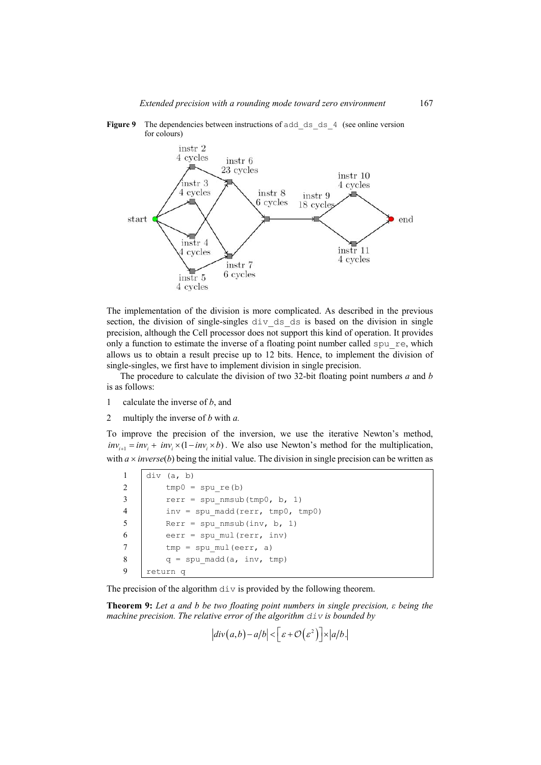

**Figure 9** The dependencies between instructions of add ds ds 4 (see online version for colours)

The implementation of the division is more complicated. As described in the previous section, the division of single-singles div\_ds\_ds is based on the division in single precision, although the Cell processor does not support this kind of operation. It provides only a function to estimate the inverse of a floating point number called  $spu$  re, which allows us to obtain a result precise up to 12 bits. Hence, to implement the division of single-singles, we first have to implement division in single precision.

The procedure to calculate the division of two 32-bit floating point numbers *a* and *b*  is as follows:

- 1 calculate the inverse of *b*, and
- 2 multiply the inverse of *b* with *a.*

To improve the precision of the inversion, we use the iterative Newton's method,  $inv_{i+1} = inv_i + inv_i \times (1 - inv_i \times b)$ . We also use Newton's method for the multiplication, with  $a \times inverse(b)$  being the initial value. The division in single precision can be written as

 div (a, b)  $tmp0 = spu re(b)$  rerr = spu\_nmsub(tmp0, b, 1) 4 inv = spu madd(rerr,  $tmp0, tmp0)$  Rerr = spu nmsub(inv, b, 1) 6 eerr = spu\_mul(rerr, inv)  $tmp = spu mul(eerr, a)$  $q = \text{spu} \text{ madd}(a, \text{ inv, tmp})$ 9 return q

The precision of the algorithm  $div$  is provided by the following theorem.

**Theorem 9:** *Let a and b be two floating point numbers in single precision, ε being the machine precision. The relative error of the algorithm*  $\text{div}$  *is bounded by* 

 $div(a,b) - a/b \leq \left[ \varepsilon + \mathcal{O}(\varepsilon^2) \right] \times |a/b|.$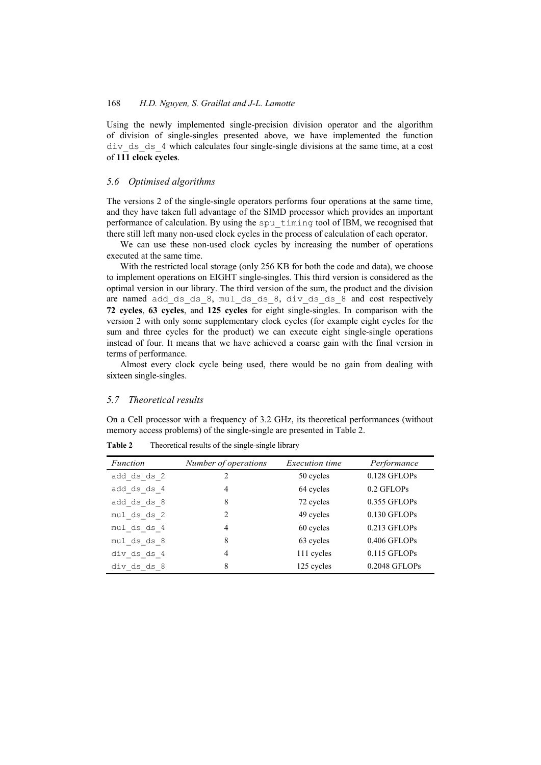Using the newly implemented single-precision division operator and the algorithm of division of single-singles presented above, we have implemented the function div\_ds\_ds\_4 which calculates four single-single divisions at the same time, at a cost of **111 clock cycles**.

## *5.6 Optimised algorithms*

The versions 2 of the single-single operators performs four operations at the same time, and they have taken full advantage of the SIMD processor which provides an important performance of calculation. By using the spu\_timing tool of IBM, we recognised that there still left many non-used clock cycles in the process of calculation of each operator.

We can use these non-used clock cycles by increasing the number of operations executed at the same time.

With the restricted local storage (only 256 KB for both the code and data), we choose to implement operations on EIGHT single-singles. This third version is considered as the optimal version in our library. The third version of the sum, the product and the division are named add ds ds 8, mul ds ds 8, div ds ds 8 and cost respectively **72 cycles**, **63 cycles**, and **125 cycles** for eight single-singles. In comparison with the version 2 with only some supplementary clock cycles (for example eight cycles for the sum and three cycles for the product) we can execute eight single-single operations instead of four. It means that we have achieved a coarse gain with the final version in terms of performance.

Almost every clock cycle being used, there would be no gain from dealing with sixteen single-singles.

#### *5.7 Theoretical results*

On a Cell processor with a frequency of 3.2 GHz, its theoretical performances (without memory access problems) of the single-single are presented in Table 2.

| Function    | Number of operations | <i>Execution time</i> | Performance    |
|-------------|----------------------|-----------------------|----------------|
| add ds ds 2 | 2                    | 50 cycles             | 0.128 GFLOPs   |
| add ds ds 4 | 4                    | 64 cycles             | 0.2 GFLOPs     |
| add ds ds 8 | 8                    | 72 cycles             | 0.355 GFLOPs   |
| mul ds ds 2 | $\mathcal{L}$        | 49 cycles             | 0.130 GFLOPs   |
| mul ds ds 4 | 4                    | 60 cycles             | 0.213 GFLOPs   |
| mul ds ds 8 | 8                    | 63 cycles             | 0.406 GFLOPs   |
| div ds ds 4 | 4                    | 111 cycles            | $0.115$ GFLOPs |
| div ds ds 8 | 8                    | 125 cycles            | 0.2048 GFLOPs  |

**Table 2** Theoretical results of the single-single library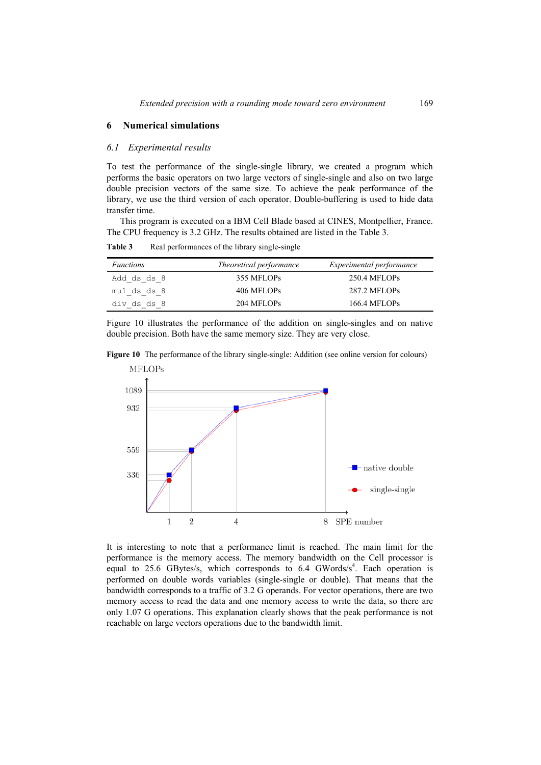# **6 Numerical simulations**

#### *6.1 Experimental results*

To test the performance of the single-single library, we created a program which performs the basic operators on two large vectors of single-single and also on two large double precision vectors of the same size. To achieve the peak performance of the library, we use the third version of each operator. Double-buffering is used to hide data transfer time.

This program is executed on a IBM Cell Blade based at CINES, Montpellier, France. The CPU frequency is 3.2 GHz. The results obtained are listed in the Table 3.

Table 3 Real performances of the library single-single

| <i>Functions</i> | <i>Theoretical performance</i> | <i>Experimental performance</i> |
|------------------|--------------------------------|---------------------------------|
| Add ds ds 8      | 355 MFLOPs                     | 250.4 MFLOPs                    |
| mul ds ds 8      | 406 MFLOPs                     | 287.2 MFLOPs                    |
| div ds ds 8      | 204 MFLOPs                     | 166.4 MFLOPs                    |

Figure 10 illustrates the performance of the addition on single-singles and on native double precision. Both have the same memory size. They are very close.

**Figure 10** The performance of the library single-single: Addition (see online version for colours)



It is interesting to note that a performance limit is reached. The main limit for the performance is the memory access. The memory bandwidth on the Cell processor is equal to 25.6 GBytes/s, which corresponds to 6.4 GWords/ $s<sup>4</sup>$ . Each operation is performed on double words variables (single-single or double). That means that the bandwidth corresponds to a traffic of 3.2 G operands. For vector operations, there are two memory access to read the data and one memory access to write the data, so there are only 1.07 G operations. This explanation clearly shows that the peak performance is not reachable on large vectors operations due to the bandwidth limit.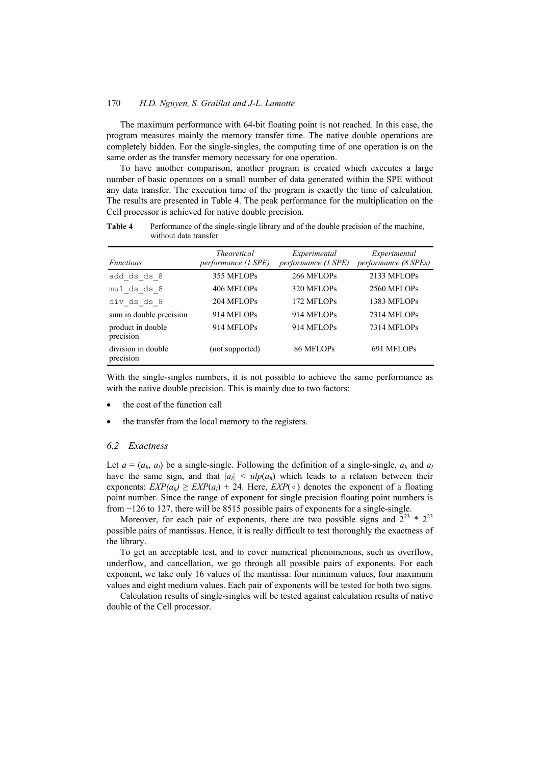The maximum performance with 64-bit floating point is not reached. In this case, the program measures mainly the memory transfer time. The native double operations are completely hidden. For the single-singles, the computing time of one operation is on the same order as the transfer memory necessary for one operation.

To have another comparison, another program is created which executes a large number of basic operators on a small number of data generated within the SPE without any data transfer. The execution time of the program is exactly the time of calculation. The results are presented in Table 4. The peak performance for the multiplication on the Cell processor is achieved for native double precision.

**Table 4** Performance of the single-single library and of the double precision of the machine, without data transfer

| <i>Functions</i>                | <b>Theoretical</b><br>performance (1 SPE) | Experimental<br>performance (1 SPE) | Experimental<br>performance (8 SPEs) |
|---------------------------------|-------------------------------------------|-------------------------------------|--------------------------------------|
| add ds ds 8                     | 355 MFLOPs                                | 266 MFLOPs                          | 2133 MFLOPs                          |
| mul ds ds 8                     | 406 MFLOPs                                | 320 MFLOPs                          | 2560 MFLOPs                          |
| div ds ds 8                     | 204 MFLOPs                                | 172 MFLOPs                          | 1383 MFLOPs                          |
| sum in double precision         | 914 MFLOPs                                | 914 MFLOPs                          | <b>7314 MFLOPs</b>                   |
| product in double<br>precision  | 914 MFLOPs                                | 914 MFLOPs                          | 7314 MFLOPs                          |
| division in double<br>precision | (not supported)                           | 86 MFLOPs                           | 691 MFLOPs                           |

With the single-singles numbers, it is not possible to achieve the same performance as with the native double precision. This is mainly due to two factors:

- the cost of the function call
- the transfer from the local memory to the registers.

#### *6.2 Exactness*

Let  $a = (a_h, a_l)$  be a single-single. Following the definition of a single-single,  $a_h$  and  $a_l$ have the same sign, and that  $|a_l| \leq \frac{u}{p(a_h)}$  which leads to a relation between their exponents:  $EXP(a<sub>b</sub>) \ge EXP(a<sub>l</sub>) + 24$ . Here,  $EXP(\circ)$  denotes the exponent of a floating point number. Since the range of exponent for single precision floating point numbers is from −126 to 127, there will be 8515 possible pairs of exponents for a single-single.

Moreover, for each pair of exponents, there are two possible signs and  $2^{23} * 2^{23}$ possible pairs of mantissas. Hence, it is really difficult to test thoroughly the exactness of the library.

To get an acceptable test, and to cover numerical phenomenons, such as overflow, underflow, and cancellation, we go through all possible pairs of exponents. For each exponent, we take only 16 values of the mantissa: four minimum values, four maximum values and eight medium values. Each pair of exponents will be tested for both two signs.

Calculation results of single-singles will be tested against calculation results of native double of the Cell processor.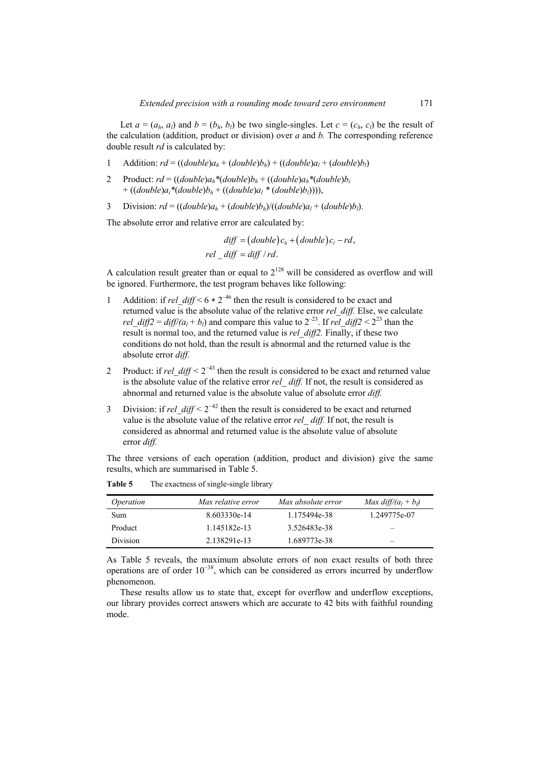Let  $a = (a_h, a_l)$  and  $b = (b_h, b_l)$  be two single-singles. Let  $c = (c_h, c_l)$  be the result of the calculation (addition, product or division) over *a* and *b.* The corresponding reference double result *rd* is calculated by:

- 1 Addition:  $rd = ((double)a_h + (double)b_h) + ((double)a_l + (double)b_l)$
- 2 Product:  $rd = ((double)a<sub>h</sub>*(double)b<sub>h</sub> + ((double)a<sub>h</sub>*(double)b<sub>i</sub>$  $+( (double)a<sub>i</sub>*(double)b<sub>h</sub> + ((double)a<sub>l</sub>*(double)b<sub>l</sub>))))$ ,
- 3 Division:  $rd = ((double)a_h + (double)b_h)/((double)a_l + (double)b_l)$ .

The absolute error and relative error are calculated by:

$$
diff = (double)ch + (double)cl - rd,
$$
  
rel *diff = diff / rd*.

A calculation result greater than or equal to  $2^{128}$  will be considered as overflow and will be ignored. Furthermore, the test program behaves like following:

- 1 Addition: if *rel\_diff*  $\lt 6 * 2^{-46}$  then the result is considered to be exact and returned value is the absolute value of the relative error *rel\_diff.* Else, we calculate *rel\_diff2* =  $di\frac{f}{2}$  *diff/(a<sub>l</sub>* + *b<sub>l</sub>*) and compare this value to  $2^{-23}$ . If *rel\_diff2* <  $2^{23}$  than the result is normal too, and the returned value is *rel\_diff2.* Finally, if these two conditions do not hold, than the result is abnormal and the returned value is the absolute error *diff.*
- 2 Product: if *rel\_diff <* 2<sup>−</sup>43 then the result is considered to be exact and returned value is the absolute value of the relative error *rel diff.* If not, the result is considered as abnormal and returned value is the absolute value of absolute error *diff.*
- 3 Division: if *rel\_diff <* 2<sup>−</sup>42 then the result is considered to be exact and returned value is the absolute value of the relative error *rel\_ diff.* If not, the result is considered as abnormal and returned value is the absolute value of absolute error *diff.*

The three versions of each operation (addition, product and division) give the same results, which are summarised in Table 5.

| <i>Operation</i> | Max relative error | Max absolute error | Max $diff/(a_l + b_l)$ |
|------------------|--------------------|--------------------|------------------------|
| Sum              | 8.603330e-14       | 1.175494e-38       | 1.249775e-07           |
| Product          | 1.145182e-13       | 3.526483e-38       |                        |
| <b>Division</b>  | 2.138291e-13       | 1.689773e-38       |                        |

Table 5 The exactness of single-single library

As Table 5 reveals, the maximum absolute errors of non exact results of both three operations are of order  $10^{-38}$ , which can be considered as errors incurred by underflow phenomenon.

These results allow us to state that, except for overflow and underflow exceptions, our library provides correct answers which are accurate to 42 bits with faithful rounding mode.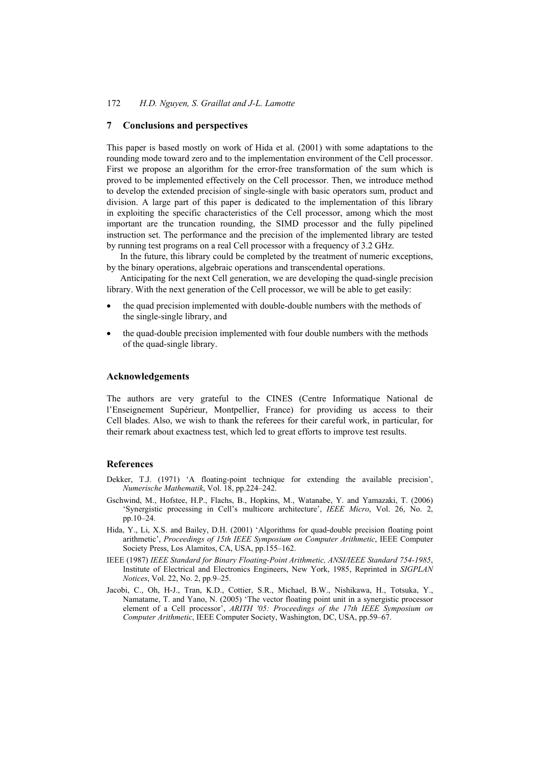## **7 Conclusions and perspectives**

This paper is based mostly on work of Hida et al. (2001) with some adaptations to the rounding mode toward zero and to the implementation environment of the Cell processor. First we propose an algorithm for the error-free transformation of the sum which is proved to be implemented effectively on the Cell processor. Then, we introduce method to develop the extended precision of single-single with basic operators sum, product and division. A large part of this paper is dedicated to the implementation of this library in exploiting the specific characteristics of the Cell processor, among which the most important are the truncation rounding, the SIMD processor and the fully pipelined instruction set. The performance and the precision of the implemented library are tested by running test programs on a real Cell processor with a frequency of 3.2 GHz.

In the future, this library could be completed by the treatment of numeric exceptions, by the binary operations, algebraic operations and transcendental operations.

Anticipating for the next Cell generation, we are developing the quad-single precision library. With the next generation of the Cell processor, we will be able to get easily:

- the quad precision implemented with double-double numbers with the methods of the single-single library, and
- the quad-double precision implemented with four double numbers with the methods of the quad-single library.

#### **Acknowledgements**

The authors are very grateful to the CINES (Centre Informatique National de l'Enseignement Supérieur, Montpellier, France) for providing us access to their Cell blades. Also, we wish to thank the referees for their careful work, in particular, for their remark about exactness test, which led to great efforts to improve test results.

## **References**

- Dekker, T.J. (1971) 'A floating-point technique for extending the available precision', *Numerische Mathematik*, Vol. 18, pp.224–242.
- Gschwind, M., Hofstee, H.P., Flachs, B., Hopkins, M., Watanabe, Y. and Yamazaki, T. (2006) 'Synergistic processing in Cell's multicore architecture', *IEEE Micro*, Vol. 26, No. 2, pp.10–24.
- Hida, Y., Li, X.S. and Bailey, D.H. (2001) 'Algorithms for quad-double precision floating point arithmetic', *Proceedings of 15th IEEE Symposium on Computer Arithmetic*, IEEE Computer Society Press, Los Alamitos, CA, USA, pp.155–162.
- IEEE (1987) *IEEE Standard for Binary Floating-Point Arithmetic, ANSI/IEEE Standard 754-1985*, Institute of Electrical and Electronics Engineers, New York, 1985, Reprinted in *SIGPLAN Notices*, Vol. 22, No. 2, pp.9–25.
- Jacobi, C., Oh, H-J., Tran, K.D., Cottier, S.R., Michael, B.W., Nishikawa, H., Totsuka, Y., Namatame, T. and Yano, N. (2005) 'The vector floating point unit in a synergistic processor element of a Cell processor', *ARITH '05: Proceedings of the 17th IEEE Symposium on Computer Arithmetic*, IEEE Computer Society, Washington, DC, USA, pp.59–67.